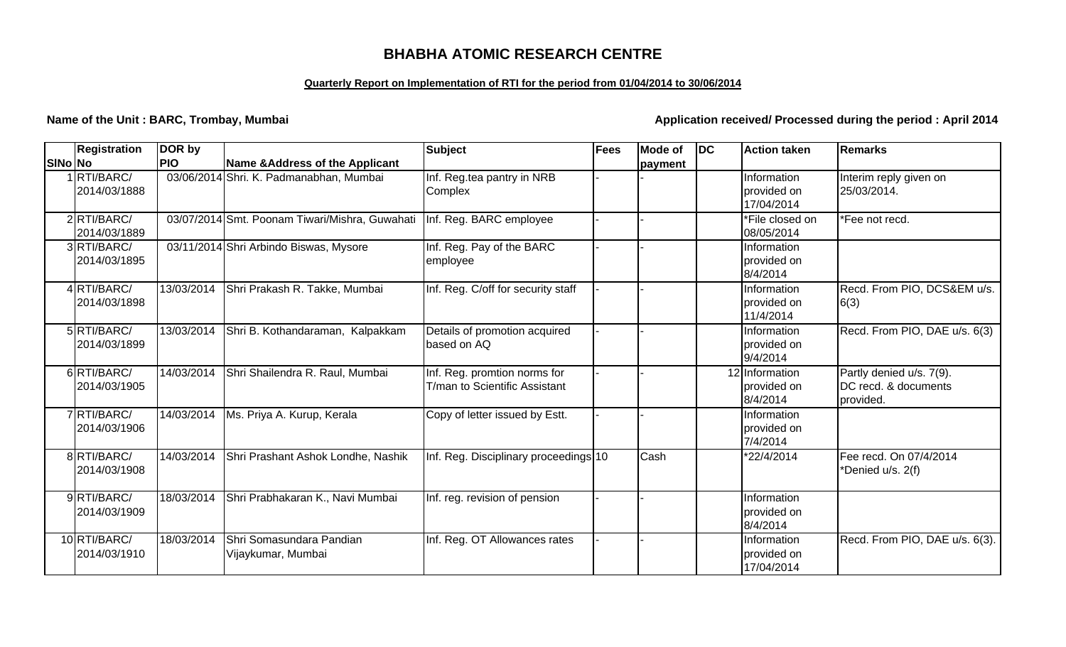# **BHABHA ATOMIC RESEARCH CENTRE**

### **Quarterly Report on Implementation of RTI for the period from 01/04/2014 to 30/06/2014**

**Name of the Unit : BARC, Trombay, Mumbai** *Application received/ Processed during the period : April 2014* 

|         | <b>Registration</b>          | DOR by     |                                                | <b>Subject</b>                                                | <b>Fees</b> | Mode of | DC | <b>Action taken</b>                       | Remarks                                                       |
|---------|------------------------------|------------|------------------------------------------------|---------------------------------------------------------------|-------------|---------|----|-------------------------------------------|---------------------------------------------------------------|
| SINo No |                              | <b>PIO</b> | <b>Name &amp;Address of the Applicant</b>      |                                                               |             | payment |    |                                           |                                                               |
|         | 1 RTI/BARC/<br>2014/03/1888  |            | 03/06/2014 Shri. K. Padmanabhan, Mumbai        | Inf. Reg.tea pantry in NRB<br>Complex                         |             |         |    | Information<br>provided on<br>17/04/2014  | Interim reply given on<br>25/03/2014.                         |
|         | 2RTI/BARC/<br>2014/03/1889   |            | 03/07/2014 Smt. Poonam Tiwari/Mishra, Guwahati | Inf. Reg. BARC employee                                       |             |         |    | *File closed on<br>08/05/2014             | *Fee not recd.                                                |
|         | 3RTI/BARC/<br>2014/03/1895   |            | 03/11/2014 Shri Arbindo Biswas, Mysore         | Inf. Reg. Pay of the BARC<br>employee                         |             |         |    | Information<br>provided on<br>8/4/2014    |                                                               |
|         | 4RTI/BARC/<br>2014/03/1898   | 13/03/2014 | Shri Prakash R. Takke, Mumbai                  | Inf. Reg. C/off for security staff                            |             |         |    | Information<br>provided on<br>11/4/2014   | Recd. From PIO, DCS&EM u/s.<br>6(3)                           |
|         | 5RTI/BARC/<br>2014/03/1899   | 13/03/2014 | Shri B. Kothandaraman, Kalpakkam               | Details of promotion acquired<br>based on AQ                  |             |         |    | Information<br>provided on<br>9/4/2014    | Recd. From PIO, DAE u/s. 6(3)                                 |
|         | 6RTI/BARC/<br>2014/03/1905   | 14/03/2014 | Shri Shailendra R. Raul, Mumbai                | Inf. Reg. promtion norms for<br>T/man to Scientific Assistant |             |         |    | 12 Information<br>provided on<br>8/4/2014 | Partly denied u/s. 7(9).<br>DC recd. & documents<br>provided. |
|         | 7RTI/BARC/<br>2014/03/1906   | 14/03/2014 | Ms. Priya A. Kurup, Kerala                     | Copy of letter issued by Estt.                                |             |         |    | Information<br>provided on<br>7/4/2014    |                                                               |
|         | 8RTI/BARC/<br>2014/03/1908   | 14/03/2014 | Shri Prashant Ashok Londhe, Nashik             | Inf. Reg. Disciplinary proceedings 10                         |             | Cash    |    | *22/4/2014                                | Fee recd. On 07/4/2014<br>*Denied u/s. 2(f)                   |
|         | 9RTI/BARC/<br>2014/03/1909   | 18/03/2014 | Shri Prabhakaran K., Navi Mumbai               | Inf. reg. revision of pension                                 |             |         |    | Information<br>provided on<br>8/4/2014    |                                                               |
|         | 10 RTI/BARC/<br>2014/03/1910 | 18/03/2014 | Shri Somasundara Pandian<br>Vijaykumar, Mumbai | Inf. Reg. OT Allowances rates                                 |             |         |    | Information<br>provided on<br>17/04/2014  | Recd. From PIO, DAE u/s. 6(3).                                |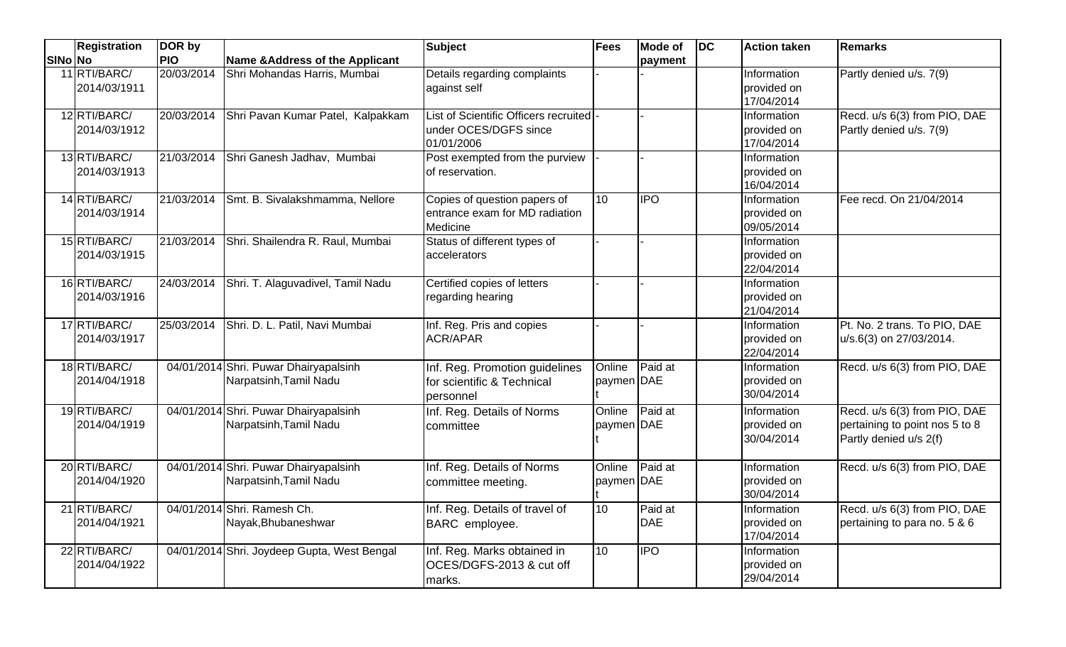|         | Registration                 | DOR by     |                                                                 | Subject                                                                         | Fees                 | <b>Mode of</b>        | DC | <b>Action taken</b>                      | <b>Remarks</b>                                                                           |
|---------|------------------------------|------------|-----------------------------------------------------------------|---------------------------------------------------------------------------------|----------------------|-----------------------|----|------------------------------------------|------------------------------------------------------------------------------------------|
| SINo No |                              | <b>PIO</b> | Name & Address of the Applicant                                 |                                                                                 |                      | payment               |    |                                          |                                                                                          |
|         | 11 RTI/BARC/<br>2014/03/1911 | 20/03/2014 | Shri Mohandas Harris, Mumbai                                    | Details regarding complaints<br>against self                                    |                      |                       |    | Information<br>provided on<br>17/04/2014 | Partly denied u/s. 7(9)                                                                  |
|         | 12 RTI/BARC/<br>2014/03/1912 | 20/03/2014 | Shri Pavan Kumar Patel, Kalpakkam                               | List of Scientific Officers recruited  -<br>under OCES/DGFS since<br>01/01/2006 |                      |                       |    | Information<br>provided on<br>17/04/2014 | Recd. u/s 6(3) from PIO, DAE<br>Partly denied u/s. 7(9)                                  |
|         | 13 RTI/BARC/<br>2014/03/1913 | 21/03/2014 | Shri Ganesh Jadhav, Mumbai                                      | Post exempted from the purview<br>of reservation.                               |                      |                       |    | Information<br>provided on<br>16/04/2014 |                                                                                          |
|         | 14 RTI/BARC/<br>2014/03/1914 |            | 21/03/2014 Smt. B. Sivalakshmamma, Nellore                      | Copies of question papers of<br>entrance exam for MD radiation<br>Medicine      | 10                   | <b>IPO</b>            |    | Information<br>provided on<br>09/05/2014 | Fee recd. On 21/04/2014                                                                  |
|         | 15 RTI/BARC/<br>2014/03/1915 |            | 21/03/2014 Shri. Shailendra R. Raul, Mumbai                     | Status of different types of<br>accelerators                                    |                      |                       |    | Information<br>provided on<br>22/04/2014 |                                                                                          |
|         | 16 RTI/BARC/<br>2014/03/1916 | 24/03/2014 | Shri. T. Alaguvadivel, Tamil Nadu                               | Certified copies of letters<br>regarding hearing                                |                      |                       |    | Information<br>provided on<br>21/04/2014 |                                                                                          |
|         | 17 RTI/BARC/<br>2014/03/1917 | 25/03/2014 | Shri. D. L. Patil, Navi Mumbai                                  | Inf. Reg. Pris and copies<br><b>ACR/APAR</b>                                    |                      |                       |    | Information<br>provided on<br>22/04/2014 | Pt. No. 2 trans. To PIO, DAE<br>u/s.6(3) on 27/03/2014.                                  |
|         | 18 RTI/BARC/<br>2014/04/1918 |            | 04/01/2014 Shri. Puwar Dhairyapalsinh<br>Narpatsinh, Tamil Nadu | Inf. Reg. Promotion guidelines<br>for scientific & Technical<br>personnel       | Online<br>paymen DAE | Paid at               |    | Information<br>provided on<br>30/04/2014 | Recd. u/s 6(3) from PIO, DAE                                                             |
|         | 19 RTI/BARC/<br>2014/04/1919 |            | 04/01/2014 Shri. Puwar Dhairyapalsinh<br>Narpatsinh, Tamil Nadu | Inf. Reg. Details of Norms<br>committee                                         | Online<br>paymen DAE | Paid at               |    | Information<br>provided on<br>30/04/2014 | Recd. u/s 6(3) from PIO, DAE<br>pertaining to point nos 5 to 8<br>Partly denied u/s 2(f) |
|         | 20 RTI/BARC/<br>2014/04/1920 |            | 04/01/2014 Shri. Puwar Dhairyapalsinh<br>Narpatsinh, Tamil Nadu | Inf. Reg. Details of Norms<br>committee meeting.                                | Online<br>paymen DAE | Paid at               |    | Information<br>provided on<br>30/04/2014 | Recd. u/s 6(3) from PIO, DAE                                                             |
|         | 21 RTI/BARC/<br>2014/04/1921 |            | 04/01/2014 Shri. Ramesh Ch.<br>Nayak, Bhubaneshwar              | Inf. Reg. Details of travel of<br>BARC employee.                                | 10                   | Paid at<br><b>DAE</b> |    | Information<br>provided on<br>17/04/2014 | Recd. u/s 6(3) from PIO, DAE<br>pertaining to para no. 5 & 6                             |
|         | 22 RTI/BARC/<br>2014/04/1922 |            | 04/01/2014 Shri. Joydeep Gupta, West Bengal                     | Inf. Reg. Marks obtained in<br>OCES/DGFS-2013 & cut off<br>marks.               | 10                   | <b>IPO</b>            |    | Information<br>provided on<br>29/04/2014 |                                                                                          |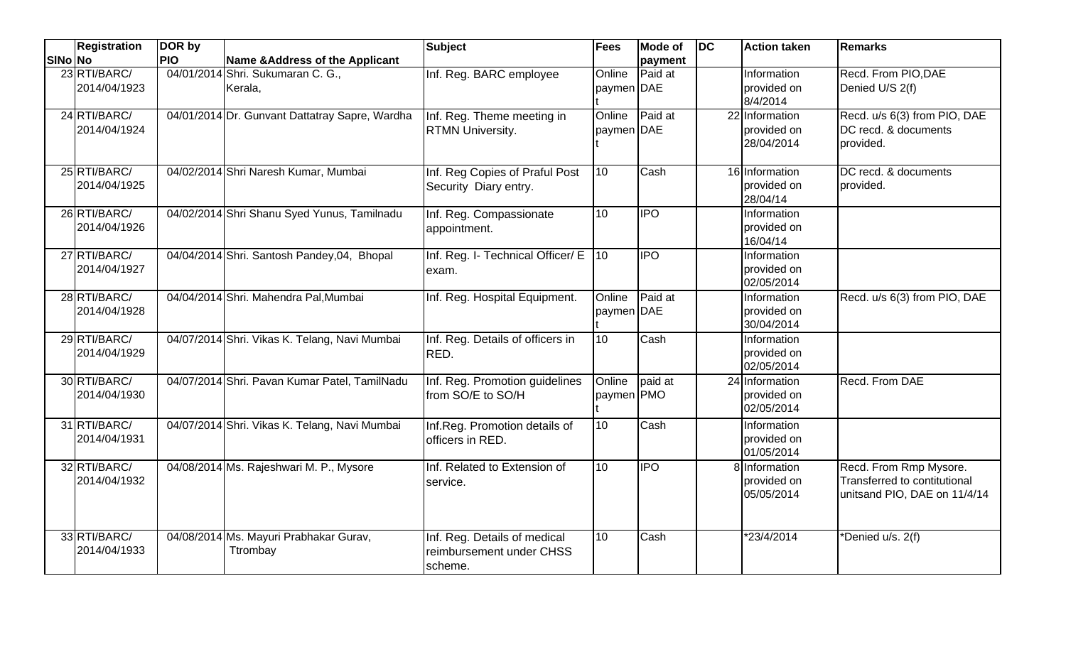|         | <b>Registration</b>          | DOR by     |                                                    | <b>Subject</b>                                                      | <b>Fees</b>          | <b>Mode of</b> | $\overline{D}$ | <b>Action taken</b>                         | <b>Remarks</b>                                                                         |
|---------|------------------------------|------------|----------------------------------------------------|---------------------------------------------------------------------|----------------------|----------------|----------------|---------------------------------------------|----------------------------------------------------------------------------------------|
| SINo No |                              | <b>PIO</b> | <b>Name &amp;Address of the Applicant</b>          |                                                                     |                      | payment        |                |                                             |                                                                                        |
|         | 23 RTI/BARC/<br>2014/04/1923 |            | 04/01/2014 Shri. Sukumaran C. G.,<br>Kerala,       | Inf. Reg. BARC employee                                             | Online<br>paymen DAE | Paid at        |                | Information<br>provided on<br>8/4/2014      | Recd. From PIO, DAE<br>Denied U/S 2(f)                                                 |
|         | 24 RTI/BARC/<br>2014/04/1924 |            | 04/01/2014 Dr. Gunvant Dattatray Sapre, Wardha     | Inf. Reg. Theme meeting in<br><b>RTMN University.</b>               | Online<br>paymen DAE | Paid at        |                | 22 Information<br>provided on<br>28/04/2014 | Recd. u/s 6(3) from PIO, DAE<br>DC recd. & documents<br>provided.                      |
|         | 25 RTI/BARC/<br>2014/04/1925 |            | 04/02/2014 Shri Naresh Kumar, Mumbai               | Inf. Reg Copies of Praful Post<br>Security Diary entry.             | $\overline{10}$      | Cash           |                | 16 Information<br>provided on<br>28/04/14   | DC recd. & documents<br>provided.                                                      |
|         | 26 RTI/BARC/<br>2014/04/1926 |            | 04/02/2014 Shri Shanu Syed Yunus, Tamilnadu        | Inf. Reg. Compassionate<br>appointment.                             | 10                   | <b>IPO</b>     |                | Information<br>provided on<br>16/04/14      |                                                                                        |
|         | 27 RTI/BARC/<br>2014/04/1927 |            | 04/04/2014 Shri. Santosh Pandey, 04, Bhopal        | Inf. Reg. I- Technical Officer/ E<br>exam.                          | 10 <sup>10</sup>     | <b>IPO</b>     |                | Information<br>provided on<br>02/05/2014    |                                                                                        |
|         | 28 RTI/BARC/<br>2014/04/1928 |            | 04/04/2014 Shri. Mahendra Pal, Mumbai              | Inf. Reg. Hospital Equipment.                                       | Online<br>paymen DAE | Paid at        |                | Information<br>provided on<br>30/04/2014    | Recd. u/s 6(3) from PIO, DAE                                                           |
|         | 29 RTI/BARC/<br>2014/04/1929 |            | 04/07/2014 Shri. Vikas K. Telang, Navi Mumbai      | Inf. Reg. Details of officers in<br>RED.                            | 10                   | Cash           |                | Information<br>provided on<br>02/05/2014    |                                                                                        |
|         | 30 RTI/BARC/<br>2014/04/1930 |            | 04/07/2014 Shri. Pavan Kumar Patel, TamilNadu      | Inf. Reg. Promotion guidelines<br>from SO/E to SO/H                 | Online<br>paymen PMO | paid at        |                | 24 Information<br>provided on<br>02/05/2014 | <b>Recd. From DAE</b>                                                                  |
|         | 31 RTI/BARC/<br>2014/04/1931 |            | 04/07/2014 Shri. Vikas K. Telang, Navi Mumbai      | Inf.Reg. Promotion details of<br>officers in RED.                   | 10                   | Cash           |                | Information<br>provided on<br>01/05/2014    |                                                                                        |
|         | 32 RTI/BARC/<br>2014/04/1932 |            | 04/08/2014 Ms. Rajeshwari M. P., Mysore            | Inf. Related to Extension of<br>service.                            | 10                   | <b>IPO</b>     |                | 8 Information<br>provided on<br>05/05/2014  | Recd. From Rmp Mysore.<br>Transferred to contitutional<br>unitsand PIO, DAE on 11/4/14 |
|         | 33 RTI/BARC/<br>2014/04/1933 |            | 04/08/2014 Ms. Mayuri Prabhakar Gurav,<br>Ttrombay | Inf. Reg. Details of medical<br>reimbursement under CHSS<br>scheme. | 10                   | Cash           |                | *23/4/2014                                  | *Denied u/s. 2(f)                                                                      |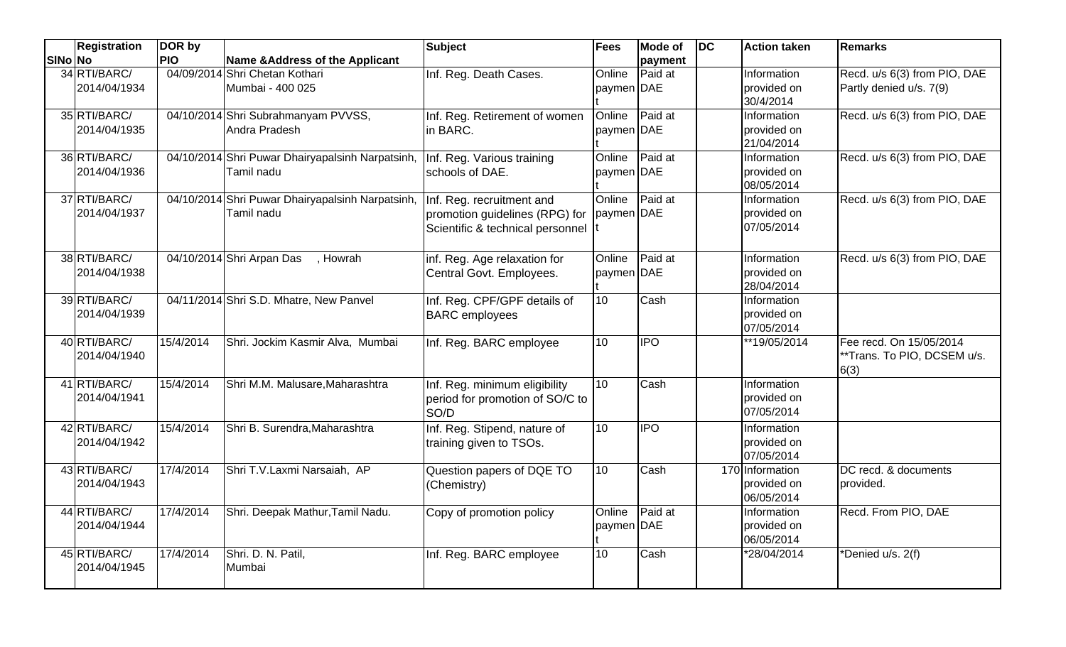|         | <b>Registration</b>          | DOR by     |                                                                | <b>Subject</b>                                                                                  | Fees                 | <b>Mode of</b> | DC | <b>Action taken</b>                          | <b>Remarks</b>                                                 |
|---------|------------------------------|------------|----------------------------------------------------------------|-------------------------------------------------------------------------------------------------|----------------------|----------------|----|----------------------------------------------|----------------------------------------------------------------|
| SINo No |                              | <b>PIO</b> | Name & Address of the Applicant                                |                                                                                                 |                      | payment        |    |                                              |                                                                |
|         | 34 RTI/BARC/<br>2014/04/1934 |            | 04/09/2014 Shri Chetan Kothari<br>Mumbai - 400 025             | Inf. Reg. Death Cases.                                                                          | Online<br>paymen DAE | Paid at        |    | Information<br>provided on<br>30/4/2014      | Recd. u/s 6(3) from PIO, DAE<br>Partly denied u/s. 7(9)        |
|         | 35 RTI/BARC/<br>2014/04/1935 |            | 04/10/2014 Shri Subrahmanyam PVVSS,<br>Andra Pradesh           | Inf. Reg. Retirement of women<br>in BARC.                                                       | Online<br>paymen DAE | Paid at        |    | Information<br>provided on<br>21/04/2014     | Recd. u/s 6(3) from PIO, DAE                                   |
|         | 36 RTI/BARC/<br>2014/04/1936 |            | 04/10/2014 Shri Puwar Dhairyapalsinh Narpatsinh,<br>Tamil nadu | Inf. Reg. Various training<br>schools of DAE.                                                   | Online<br>paymen DAE | Paid at        |    | Information<br>provided on<br>08/05/2014     | Recd. u/s 6(3) from PIO, DAE                                   |
|         | 37 RTI/BARC/<br>2014/04/1937 |            | 04/10/2014 Shri Puwar Dhairyapalsinh Narpatsinh,<br>Tamil nadu | Inf. Reg. recruitment and<br>promotion guidelines (RPG) for<br>Scientific & technical personnel | Online<br>paymen DAE | Paid at        |    | Information<br>provided on<br>07/05/2014     | Recd. u/s 6(3) from PIO, DAE                                   |
|         | 38 RTI/BARC/<br>2014/04/1938 |            | 04/10/2014 Shri Arpan Das<br>, Howrah                          | inf. Reg. Age relaxation for<br>Central Govt. Employees.                                        | Online<br>paymen DAE | Paid at        |    | Information<br>provided on<br>28/04/2014     | Recd. u/s 6(3) from PIO, DAE                                   |
|         | 39 RTI/BARC/<br>2014/04/1939 |            | 04/11/2014 Shri S.D. Mhatre, New Panvel                        | Inf. Reg. CPF/GPF details of<br><b>BARC</b> employees                                           | 10                   | Cash           |    | Information<br>provided on<br>07/05/2014     |                                                                |
|         | 40 RTI/BARC/<br>2014/04/1940 | 15/4/2014  | Shri. Jockim Kasmir Alva, Mumbai                               | Inf. Reg. BARC employee                                                                         | 10                   | <b>IPO</b>     |    | **19/05/2014                                 | Fee recd. On 15/05/2014<br>**Trans. To PIO, DCSEM u/s.<br>6(3) |
|         | 41 RTI/BARC/<br>2014/04/1941 | 15/4/2014  | Shri M.M. Malusare, Maharashtra                                | Inf. Reg. minimum eligibility<br>period for promotion of SO/C to<br>SO/D                        | 10                   | Cash           |    | Information<br>provided on<br>07/05/2014     |                                                                |
|         | 42 RTI/BARC/<br>2014/04/1942 | 15/4/2014  | Shri B. Surendra, Maharashtra                                  | Inf. Reg. Stipend, nature of<br>training given to TSOs.                                         | 10                   | <b>IPO</b>     |    | Information<br>provided on<br>07/05/2014     |                                                                |
|         | 43 RTI/BARC/<br>2014/04/1943 | 17/4/2014  | Shri T.V.Laxmi Narsaiah, AP                                    | Question papers of DQE TO<br>(Chemistry)                                                        | 10                   | Cash           |    | 170 Information<br>provided on<br>06/05/2014 | DC recd. & documents<br>provided.                              |
|         | 44 RTI/BARC/<br>2014/04/1944 | 17/4/2014  | Shri. Deepak Mathur, Tamil Nadu.                               | Copy of promotion policy                                                                        | Online<br>paymen DAE | Paid at        |    | Information<br>provided on<br>06/05/2014     | Recd. From PIO, DAE                                            |
|         | 45 RTI/BARC/<br>2014/04/1945 | 17/4/2014  | Shri. D. N. Patil,<br>Mumbai                                   | Inf. Reg. BARC employee                                                                         | 10                   | Cash           |    | *28/04/2014                                  | *Denied u/s. $2(f)$                                            |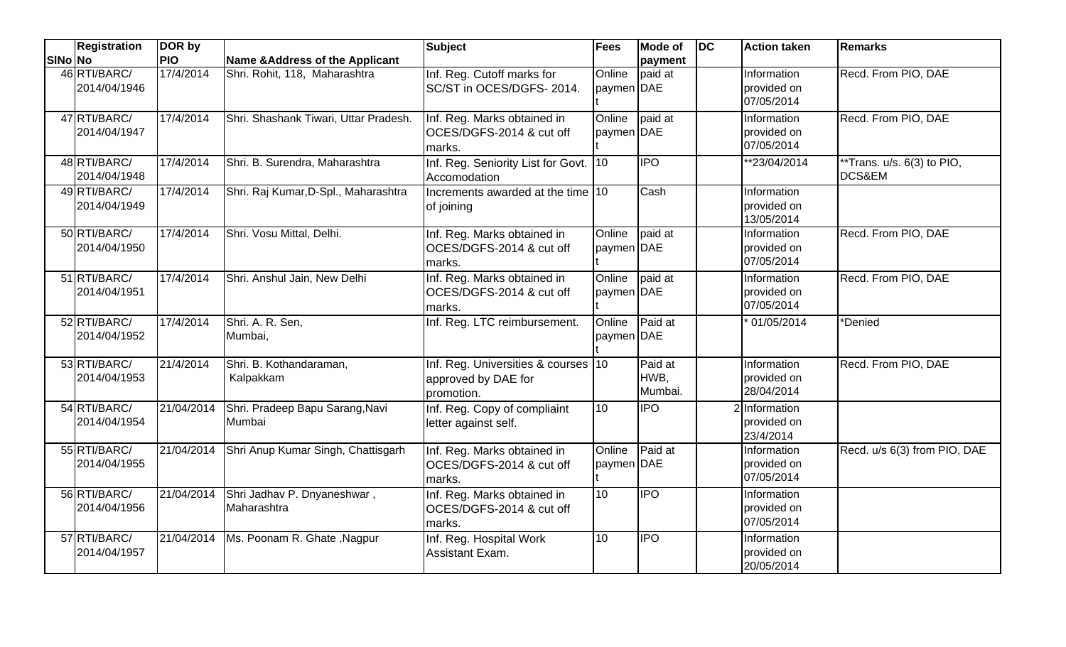|         | <b>Registration</b>          | DOR by             |                                            | <b>Subject</b>                                                           | Fees                 | <b>Mode of</b>             | <b>DC</b> | <b>Action taken</b>                       | <b>Remarks</b>                                  |
|---------|------------------------------|--------------------|--------------------------------------------|--------------------------------------------------------------------------|----------------------|----------------------------|-----------|-------------------------------------------|-------------------------------------------------|
| SINo No |                              | <b>PIO</b>         | <b>Name &amp;Address of the Applicant</b>  |                                                                          |                      | payment                    |           |                                           |                                                 |
|         | 46 RTI/BARC/<br>2014/04/1946 | 17/4/2014          | Shri. Rohit, 118, Maharashtra              | Inf. Reg. Cutoff marks for<br>SC/ST in OCES/DGFS-2014.                   | Online<br>paymen DAE | paid at                    |           | Information<br>provided on<br>07/05/2014  | Recd. From PIO, DAE                             |
|         | 47 RTI/BARC/<br>2014/04/1947 | 17/4/2014          | Shri. Shashank Tiwari, Uttar Pradesh.      | Inf. Reg. Marks obtained in<br>OCES/DGFS-2014 & cut off<br>marks.        | Online<br>paymen DAE | paid at                    |           | Information<br>provided on<br>07/05/2014  | Recd. From PIO, DAE                             |
|         | 48 RTI/BARC/<br>2014/04/1948 | 17/4/2014          | Shri. B. Surendra, Maharashtra             | Inf. Reg. Seniority List for Govt. 10<br>Accomodation                    |                      | <b>IPO</b>                 |           | **23/04/2014                              | **Trans. u/s. 6(3) to PIO,<br><b>DCS&amp;EM</b> |
|         | 49 RTI/BARC/<br>2014/04/1949 | 17/4/2014          | Shri. Raj Kumar, D-Spl., Maharashtra       | Increments awarded at the time 10<br>of joining                          |                      | Cash                       |           | Information<br>provided on<br>13/05/2014  |                                                 |
|         | 50 RTI/BARC/<br>2014/04/1950 | 17/4/2014          | Shri. Vosu Mittal, Delhi.                  | Inf. Reg. Marks obtained in<br>OCES/DGFS-2014 & cut off<br>marks.        | Online<br>paymen DAE | paid at                    |           | Information<br>provided on<br>07/05/2014  | Recd. From PIO, DAE                             |
|         | 51 RTI/BARC/<br>2014/04/1951 | 17/4/2014          | Shri. Anshul Jain, New Delhi               | Inf. Reg. Marks obtained in<br>OCES/DGFS-2014 & cut off<br>marks.        | Online<br>paymen DAE | paid at                    |           | Information<br>provided on<br>07/05/2014  | Recd. From PIO, DAE                             |
|         | 52 RTI/BARC/<br>2014/04/1952 | 17/4/2014          | Shri. A. R. Sen,<br>Mumbai,                | Inf. Reg. LTC reimbursement.                                             | Online<br>paymen DAE | Paid at                    |           | 01/05/2014                                | *Denied                                         |
|         | 53 RTI/BARC/<br>2014/04/1953 | $\sqrt{21/4}/2014$ | Shri. B. Kothandaraman,<br>Kalpakkam       | Inf. Reg. Universities & courses 10<br>approved by DAE for<br>promotion. |                      | Paid at<br>HWB,<br>Mumbai. |           | Information<br>provided on<br>28/04/2014  | Recd. From PIO, DAE                             |
|         | 54 RTI/BARC/<br>2014/04/1954 | 21/04/2014         | Shri. Pradeep Bapu Sarang, Navi<br>Mumbai  | Inf. Reg. Copy of compliaint<br>letter against self.                     | 10                   | <b>IPO</b>                 |           | 2 Information<br>provided on<br>23/4/2014 |                                                 |
|         | 55 RTI/BARC/<br>2014/04/1955 | 21/04/2014         | Shri Anup Kumar Singh, Chattisgarh         | Inf. Reg. Marks obtained in<br>OCES/DGFS-2014 & cut off<br>marks.        | Online<br>paymen DAE | Paid at                    |           | Information<br>provided on<br>07/05/2014  | Recd. u/s 6(3) from PIO, DAE                    |
|         | 56 RTI/BARC/<br>2014/04/1956 | 21/04/2014         | Shri Jadhav P. Dnyaneshwar,<br>Maharashtra | Inf. Reg. Marks obtained in<br>OCES/DGFS-2014 & cut off<br>marks.        | 10                   | <b>IPO</b>                 |           | Information<br>provided on<br>07/05/2014  |                                                 |
|         | 57 RTI/BARC/<br>2014/04/1957 | 21/04/2014         | Ms. Poonam R. Ghate, Nagpur                | Inf. Reg. Hospital Work<br>Assistant Exam.                               | 10                   | <b>IPO</b>                 |           | Information<br>provided on<br>20/05/2014  |                                                 |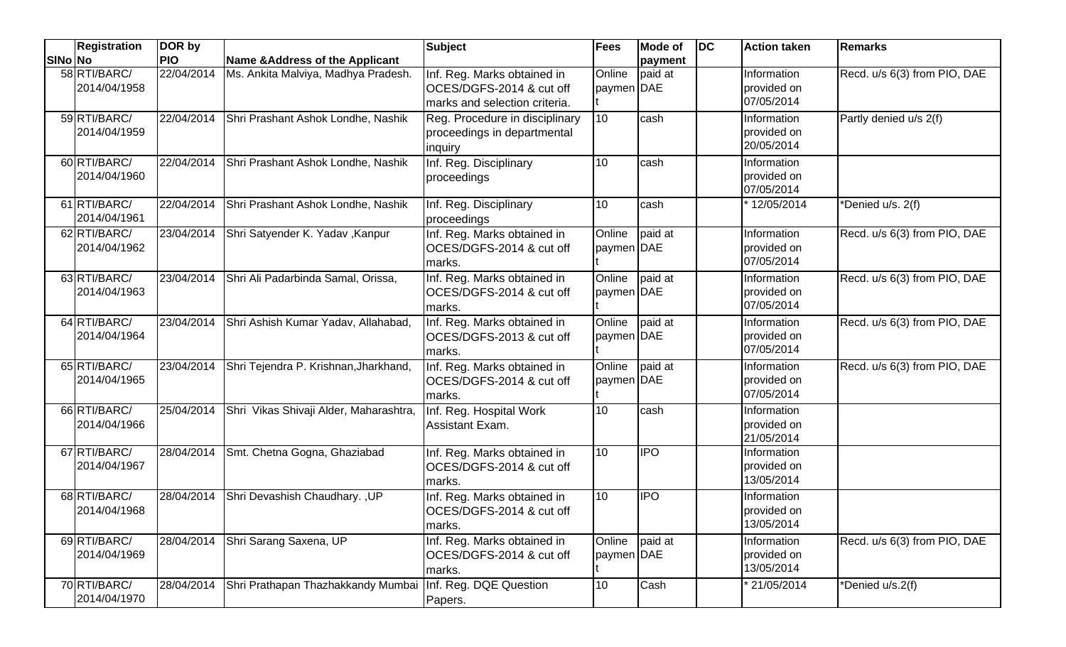|         | <b>Registration</b>          | DOR by     |                                                   | <b>Subject</b>                                                                           | <b>Fees</b>          | <b>Mode of</b> | $\overline{D}$ | <b>Action taken</b>                      | <b>Remarks</b>               |
|---------|------------------------------|------------|---------------------------------------------------|------------------------------------------------------------------------------------------|----------------------|----------------|----------------|------------------------------------------|------------------------------|
| SINo No |                              | <b>PIO</b> | Name & Address of the Applicant                   |                                                                                          |                      | payment        |                |                                          |                              |
|         | 58 RTI/BARC/<br>2014/04/1958 | 22/04/2014 | Ms. Ankita Malviya, Madhya Pradesh.               | Inf. Reg. Marks obtained in<br>OCES/DGFS-2014 & cut off<br>marks and selection criteria. | Online<br>paymen DAE | paid at        |                | Information<br>provided on<br>07/05/2014 | Recd. u/s 6(3) from PIO, DAE |
|         | 59 RTI/BARC/<br>2014/04/1959 |            | 22/04/2014 Shri Prashant Ashok Londhe, Nashik     | Reg. Procedure in disciplinary<br>proceedings in departmental<br>inquiry                 | 10                   | cash           |                | Information<br>provided on<br>20/05/2014 | Partly denied u/s 2(f)       |
|         | 60 RTI/BARC/<br>2014/04/1960 |            | 22/04/2014 Shri Prashant Ashok Londhe, Nashik     | Inf. Reg. Disciplinary<br>proceedings                                                    | 10                   | cash           |                | Information<br>provided on<br>07/05/2014 |                              |
|         | 61 RTI/BARC/<br>2014/04/1961 |            | 22/04/2014 Shri Prashant Ashok Londhe, Nashik     | Inf. Reg. Disciplinary<br>proceedings                                                    | 10                   | cash           |                | 12/05/2014                               | *Denied u/s. 2(f)            |
|         | 62 RTI/BARC/<br>2014/04/1962 |            | 23/04/2014 Shri Satyender K. Yadav, Kanpur        | Inf. Reg. Marks obtained in<br>OCES/DGFS-2014 & cut off<br>marks.                        | Online<br>paymen DAE | paid at        |                | Information<br>provided on<br>07/05/2014 | Recd. u/s 6(3) from PIO, DAE |
|         | 63 RTI/BARC/<br>2014/04/1963 |            | 23/04/2014 Shri Ali Padarbinda Samal, Orissa,     | Inf. Reg. Marks obtained in<br>OCES/DGFS-2014 & cut off<br>marks.                        | Online<br>paymen DAE | paid at        |                | Information<br>provided on<br>07/05/2014 | Recd. u/s 6(3) from PIO, DAE |
|         | 64 RTI/BARC/<br>2014/04/1964 |            | 23/04/2014 Shri Ashish Kumar Yadav, Allahabad,    | Inf. Reg. Marks obtained in<br>OCES/DGFS-2013 & cut off<br>marks.                        | Online<br>paymen DAE | paid at        |                | Information<br>provided on<br>07/05/2014 | Recd. u/s 6(3) from PIO, DAE |
|         | 65 RTI/BARC/<br>2014/04/1965 |            | 23/04/2014 Shri Tejendra P. Krishnan, Jharkhand,  | Inf. Reg. Marks obtained in<br>OCES/DGFS-2014 & cut off<br>marks.                        | Online<br>paymen DAE | paid at        |                | Information<br>provided on<br>07/05/2014 | Recd. u/s 6(3) from PIO, DAE |
|         | 66 RTI/BARC/<br>2014/04/1966 |            | 25/04/2014 Shri Vikas Shivaji Alder, Maharashtra, | Inf. Reg. Hospital Work<br>Assistant Exam.                                               | 10                   | cash           |                | Information<br>provided on<br>21/05/2014 |                              |
|         | 67 RTI/BARC/<br>2014/04/1967 |            | 28/04/2014 Smt. Chetna Gogna, Ghaziabad           | Inf. Reg. Marks obtained in<br>OCES/DGFS-2014 & cut off<br>marks.                        | 10                   | <b>IPO</b>     |                | Information<br>provided on<br>13/05/2014 |                              |
|         | 68 RTI/BARC/<br>2014/04/1968 |            | 28/04/2014 Shri Devashish Chaudhary., UP          | Inf. Reg. Marks obtained in<br>OCES/DGFS-2014 & cut off<br>marks.                        | 10                   | <b>IPO</b>     |                | Information<br>provided on<br>13/05/2014 |                              |
|         | 69 RTI/BARC/<br>2014/04/1969 |            | 28/04/2014 Shri Sarang Saxena, UP                 | Inf. Reg. Marks obtained in<br>OCES/DGFS-2014 & cut off<br>marks.                        | Online<br>paymen DAE | paid at        |                | Information<br>provided on<br>13/05/2014 | Recd. u/s 6(3) from PIO, DAE |
|         | 70 RTI/BARC/<br>2014/04/1970 |            | 28/04/2014 Shri Prathapan Thazhakkandy Mumbai     | Inf. Reg. DQE Question<br>Papers.                                                        | 10                   | Cash           |                | 21/05/2014                               | *Denied u/s.2(f)             |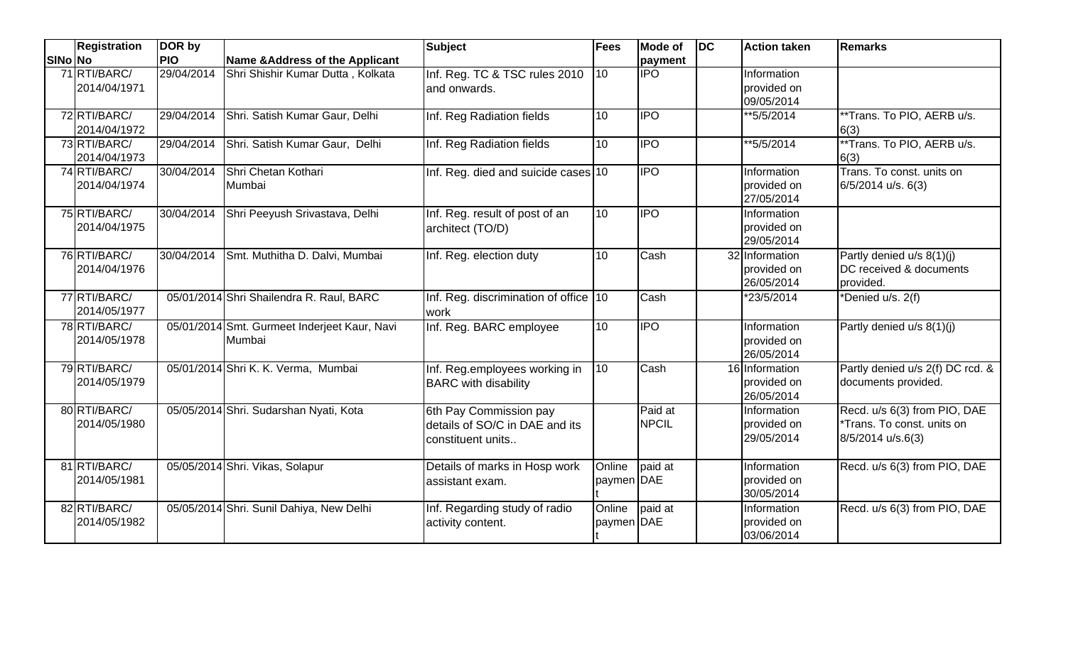|         | <b>Registration</b>          | DOR by     |                                              | <b>Subject</b>                        | <b>Fees</b>     | <b>Mode of</b>   | DC | <b>Action taken</b>       | <b>Remarks</b>                                  |
|---------|------------------------------|------------|----------------------------------------------|---------------------------------------|-----------------|------------------|----|---------------------------|-------------------------------------------------|
| SINo No |                              | <b>PIO</b> | Name & Address of the Applicant              |                                       |                 | payment          |    |                           |                                                 |
|         | 71 RTI/BARC/                 | 29/04/2014 | Shri Shishir Kumar Dutta, Kolkata            | Inf. Reg. TC & TSC rules 2010         | 10              | $\overline{IPO}$ |    | Information               |                                                 |
|         | 2014/04/1971                 |            |                                              | and onwards.                          |                 |                  |    | provided on<br>09/05/2014 |                                                 |
|         | 72 RTI/BARC/<br>2014/04/1972 | 29/04/2014 | Shri. Satish Kumar Gaur, Delhi               | Inf. Reg Radiation fields             | 10              | <b>IPO</b>       |    | **5/5/2014                | **Trans. To PIO, AERB u/s.<br>6(3)              |
|         | 73 RTI/BARC/<br>2014/04/1973 | 29/04/2014 | Shri. Satish Kumar Gaur, Delhi               | Inf. Reg Radiation fields             | 10              | $\overline{IPO}$ |    | $*$ $5/5/2014$            | **Trans. To PIO, AERB u/s.<br>6(3)              |
|         | 74 RTI/BARC/                 | 30/04/2014 | Shri Chetan Kothari                          | Inf. Reg. died and suicide cases 10   |                 | $\overline{IPO}$ |    | Information               | Trans. To const. units on                       |
|         | 2014/04/1974                 |            | Mumbai                                       |                                       |                 |                  |    | provided on<br>27/05/2014 | 6/5/2014 u/s. 6(3)                              |
|         | 75 RTI/BARC/                 | 30/04/2014 | Shri Peeyush Srivastava, Delhi               | Inf. Reg. result of post of an        | 10              | $\overline{IPO}$ |    | Information               |                                                 |
|         | 2014/04/1975                 |            |                                              | architect (TO/D)                      |                 |                  |    | provided on<br>29/05/2014 |                                                 |
|         | 76 RTI/BARC/                 | 30/04/2014 | Smt. Muthitha D. Dalvi, Mumbai               | Inf. Reg. election duty               | 10              | Cash             |    | 32 Information            | Partly denied u/s 8(1)(j)                       |
|         | 2014/04/1976                 |            |                                              |                                       |                 |                  |    | provided on<br>26/05/2014 | DC received & documents<br>provided.            |
|         | 77 RTI/BARC/                 |            | 05/01/2014 Shri Shailendra R. Raul, BARC     | Inf. Reg. discrimination of office 10 |                 | Cash             |    | *23/5/2014                | *Denied u/s. 2(f)                               |
|         | 2014/05/1977                 |            |                                              | work                                  |                 |                  |    |                           |                                                 |
|         | 78 RTI/BARC/                 |            | 05/01/2014 Smt. Gurmeet Inderjeet Kaur, Navi | Inf. Reg. BARC employee               | 10              | <b>IPO</b>       |    | Information               | Partly denied u/s 8(1)(j)                       |
|         | 2014/05/1978                 |            | Mumbai                                       |                                       |                 |                  |    | provided on<br>26/05/2014 |                                                 |
|         | 79 RTI/BARC/                 |            | 05/01/2014 Shri K. K. Verma, Mumbai          | Inf. Reg.employees working in         | $\overline{10}$ | Cash             |    | 16 Information            | Partly denied u/s 2(f) DC rcd. &                |
|         | 2014/05/1979                 |            |                                              | <b>BARC</b> with disability           |                 |                  |    | provided on<br>26/05/2014 | documents provided.                             |
|         | 80 RTI/BARC/                 |            | 05/05/2014 Shri. Sudarshan Nyati, Kota       | 6th Pay Commission pay                |                 | Paid at          |    | Information               | Recd. u/s 6(3) from PIO, DAE                    |
|         | 2014/05/1980                 |            |                                              | details of SO/C in DAE and its        |                 | <b>NPCIL</b>     |    | provided on<br>29/05/2014 | *Trans. To const. units on<br>8/5/2014 u/s.6(3) |
|         |                              |            |                                              | constituent units                     |                 |                  |    |                           |                                                 |
|         | 81 RTI/BARC/                 |            | 05/05/2014 Shri. Vikas, Solapur              | Details of marks in Hosp work         | Online          | paid at          |    | Information               | Recd. u/s 6(3) from PIO, DAE                    |
|         | 2014/05/1981                 |            |                                              | assistant exam.                       | paymen DAE      |                  |    | provided on               |                                                 |
|         | 82 RTI/BARC/                 |            | 05/05/2014 Shri. Sunil Dahiya, New Delhi     | Inf. Regarding study of radio         | Online          | paid at          |    | 30/05/2014<br>Information | Recd. u/s 6(3) from PIO, DAE                    |
|         | 2014/05/1982                 |            |                                              | activity content.                     | paymen DAE      |                  |    | provided on               |                                                 |
|         |                              |            |                                              |                                       |                 |                  |    | 03/06/2014                |                                                 |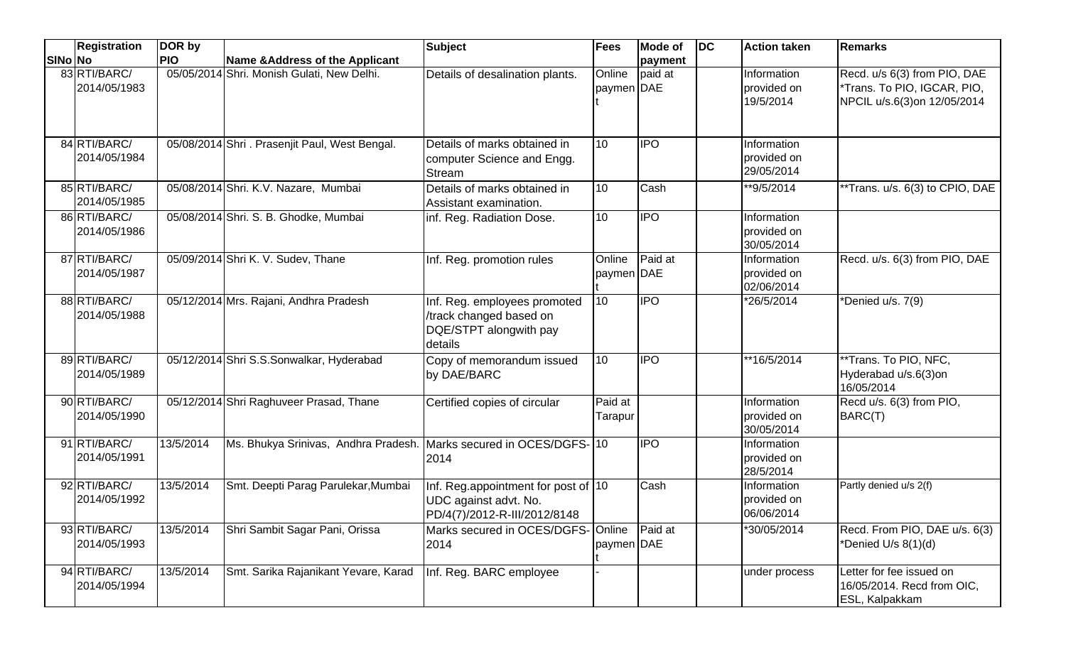|         | Registration                 | DOR by     |                                                                    | <b>Subject</b>                                                                                | Fees                 | Mode of    | DC | <b>Action taken</b>                      | <b>Remarks</b>                                                                             |
|---------|------------------------------|------------|--------------------------------------------------------------------|-----------------------------------------------------------------------------------------------|----------------------|------------|----|------------------------------------------|--------------------------------------------------------------------------------------------|
| SINo No |                              | <b>PIO</b> | Name & Address of the Applicant                                    |                                                                                               |                      | payment    |    |                                          |                                                                                            |
|         | 83 RTI/BARC/<br>2014/05/1983 |            | 05/05/2014 Shri. Monish Gulati, New Delhi.                         | Details of desalination plants.                                                               | Online<br>paymen DAE | paid at    |    | Information<br>provided on<br>19/5/2014  | Recd. u/s 6(3) from PIO, DAE<br>*Trans. To PIO, IGCAR, PIO,<br>NPCIL u/s.6(3)on 12/05/2014 |
|         | 84 RTI/BARC/<br>2014/05/1984 |            | 05/08/2014 Shri . Prasenjit Paul, West Bengal.                     | Details of marks obtained in<br>computer Science and Engg.<br>Stream                          | 10                   | <b>IPO</b> |    | Information<br>provided on<br>29/05/2014 |                                                                                            |
|         | 85 RTI/BARC/<br>2014/05/1985 |            | 05/08/2014 Shri. K.V. Nazare, Mumbai                               | Details of marks obtained in<br>Assistant examination.                                        | 10                   | Cash       |    | **9/5/2014                               | **Trans. u/s. 6(3) to CPIO, DAE                                                            |
|         | 86 RTI/BARC/<br>2014/05/1986 |            | 05/08/2014 Shri. S. B. Ghodke, Mumbai                              | inf. Reg. Radiation Dose.                                                                     | 10 <sup>°</sup>      | <b>IPO</b> |    | Information<br>provided on<br>30/05/2014 |                                                                                            |
|         | 87 RTI/BARC/<br>2014/05/1987 |            | 05/09/2014 Shri K. V. Sudev, Thane                                 | Inf. Reg. promotion rules                                                                     | Online<br>paymen DAE | Paid at    |    | Information<br>provided on<br>02/06/2014 | Recd. u/s. 6(3) from PIO, DAE                                                              |
|         | 88 RTI/BARC/<br>2014/05/1988 |            | 05/12/2014 Mrs. Rajani, Andhra Pradesh                             | Inf. Reg. employees promoted<br>/track changed based on<br>DQE/STPT alongwith pay<br>details  | 10 <sup>°</sup>      | <b>IPO</b> |    | *26/5/2014                               | *Denied u/s. 7(9)                                                                          |
|         | 89 RTI/BARC/<br>2014/05/1989 |            | 05/12/2014 Shri S.S.Sonwalkar, Hyderabad                           | Copy of memorandum issued<br>by DAE/BARC                                                      | 10                   | <b>IPO</b> |    | **16/5/2014                              | **Trans. To PIO, NFC,<br>Hyderabad u/s.6(3)on<br>16/05/2014                                |
|         | 90 RTI/BARC/<br>2014/05/1990 |            | 05/12/2014 Shri Raghuveer Prasad, Thane                            | Certified copies of circular                                                                  | Paid at<br>Tarapur   |            |    | Information<br>provided on<br>30/05/2014 | Recd u/s. 6(3) from PIO,<br>BARC(T)                                                        |
|         | 91 RTI/BARC/<br>2014/05/1991 | 13/5/2014  | Ms. Bhukya Srinivas, Andhra Pradesh. Marks secured in OCES/DGFS-10 | 2014                                                                                          |                      | <b>IPO</b> |    | Information<br>provided on<br>28/5/2014  |                                                                                            |
|         | 92 RTI/BARC/<br>2014/05/1992 | 13/5/2014  | Smt. Deepti Parag Parulekar, Mumbai                                | Inf. Reg.appointment for post of 10<br>UDC against advt. No.<br> PD/4(7)/2012-R-III/2012/8148 |                      | Cash       |    | Information<br>provided on<br>06/06/2014 | Partly denied u/s 2(f)                                                                     |
|         | 93 RTI/BARC/<br>2014/05/1993 | 13/5/2014  | Shri Sambit Sagar Pani, Orissa                                     | Marks secured in OCES/DGFS- Online<br>2014                                                    | paymen DAE           | Paid at    |    | *30/05/2014                              | Recd. From PIO, DAE u/s. 6(3)<br>*Denied U/s 8(1)(d)                                       |
|         | 94 RTI/BARC/<br>2014/05/1994 | 13/5/2014  | Smt. Sarika Rajanikant Yevare, Karad                               | Inf. Reg. BARC employee                                                                       |                      |            |    | under process                            | Letter for fee issued on<br>16/05/2014. Recd from OIC,<br>ESL, Kalpakkam                   |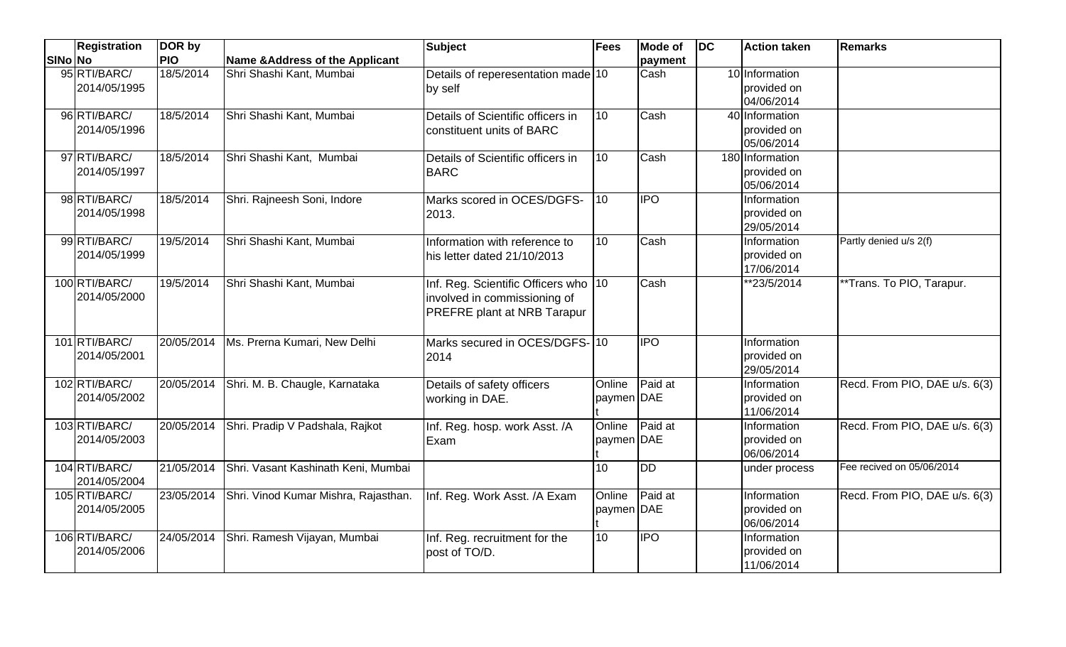|         | <b>Registration</b>           | DOR by     |                                                 | <b>Subject</b>                                                                                      | Fees                 | <b>Mode of</b> | DC | <b>Action taken</b>                          | <b>Remarks</b>                |
|---------|-------------------------------|------------|-------------------------------------------------|-----------------------------------------------------------------------------------------------------|----------------------|----------------|----|----------------------------------------------|-------------------------------|
| SINo No |                               | <b>PIO</b> | Name & Address of the Applicant                 |                                                                                                     |                      | payment        |    |                                              |                               |
|         | 95 RTI/BARC/<br>2014/05/1995  | 18/5/2014  | Shri Shashi Kant, Mumbai                        | Details of reperesentation made 10<br>by self                                                       |                      | Cash           |    | 10 Information<br>provided on<br>04/06/2014  |                               |
|         | 96 RTI/BARC/<br>2014/05/1996  | 18/5/2014  | Shri Shashi Kant, Mumbai                        | Details of Scientific officers in<br>constituent units of BARC                                      | 10                   | Cash           |    | 40 Information<br>provided on<br>05/06/2014  |                               |
|         | 97 RTI/BARC/<br>2014/05/1997  | 18/5/2014  | Shri Shashi Kant, Mumbai                        | Details of Scientific officers in<br><b>BARC</b>                                                    | 10                   | Cash           |    | 180 Information<br>provided on<br>05/06/2014 |                               |
|         | 98 RTI/BARC/<br>2014/05/1998  | 18/5/2014  | Shri. Rajneesh Soni, Indore                     | Marks scored in OCES/DGFS-<br>2013.                                                                 | 10                   | <b>IPO</b>     |    | Information<br>provided on<br>29/05/2014     |                               |
|         | 99 RTI/BARC/<br>2014/05/1999  | 19/5/2014  | Shri Shashi Kant, Mumbai                        | Information with reference to<br>his letter dated 21/10/2013                                        | 10                   | Cash           |    | Information<br>provided on<br>17/06/2014     | Partly denied u/s 2(f)        |
|         | 100 RTI/BARC/<br>2014/05/2000 | 19/5/2014  | Shri Shashi Kant, Mumbai                        | Inf. Reg. Scientific Officers who 10<br>involved in commissioning of<br>PREFRE plant at NRB Tarapur |                      | Cash           |    | **23/5/2014                                  | **Trans. To PIO, Tarapur.     |
|         | 101 RTI/BARC/<br>2014/05/2001 |            | 20/05/2014   Ms. Prerna Kumari, New Delhi       | Marks secured in OCES/DGFS-10<br>2014                                                               |                      | <b>IPO</b>     |    | Information<br>provided on<br>29/05/2014     |                               |
|         | 102 RTI/BARC/<br>2014/05/2002 |            | 20/05/2014 Shri. M. B. Chaugle, Karnataka       | Details of safety officers<br>working in DAE.                                                       | Online<br>paymen DAE | Paid at        |    | Information<br>provided on<br>11/06/2014     | Recd. From PIO, DAE u/s. 6(3) |
|         | 103 RTI/BARC/<br>2014/05/2003 |            | 20/05/2014 Shri. Pradip V Padshala, Rajkot      | Inf. Reg. hosp. work Asst. /A<br>Exam                                                               | Online<br>paymen DAE | Paid at        |    | Information<br>provided on<br>06/06/2014     | Recd. From PIO, DAE u/s. 6(3) |
|         | 104 RTI/BARC/<br>2014/05/2004 | 21/05/2014 | Shri. Vasant Kashinath Keni, Mumbai             |                                                                                                     | 10 <sup>1</sup>      | <b>DD</b>      |    | under process                                | Fee recived on 05/06/2014     |
|         | 105 RTI/BARC/<br>2014/05/2005 |            | 23/05/2014 Shri. Vinod Kumar Mishra, Rajasthan. | Inf. Reg. Work Asst. /A Exam                                                                        | Online<br>paymen DAE | Paid at        |    | Information<br>provided on<br>06/06/2014     | Recd. From PIO, DAE u/s. 6(3) |
|         | 106 RTI/BARC/<br>2014/05/2006 |            | 24/05/2014 Shri. Ramesh Vijayan, Mumbai         | Inf. Reg. recruitment for the<br>post of TO/D.                                                      | $\overline{10}$      | <b>IPO</b>     |    | Information<br>provided on<br>11/06/2014     |                               |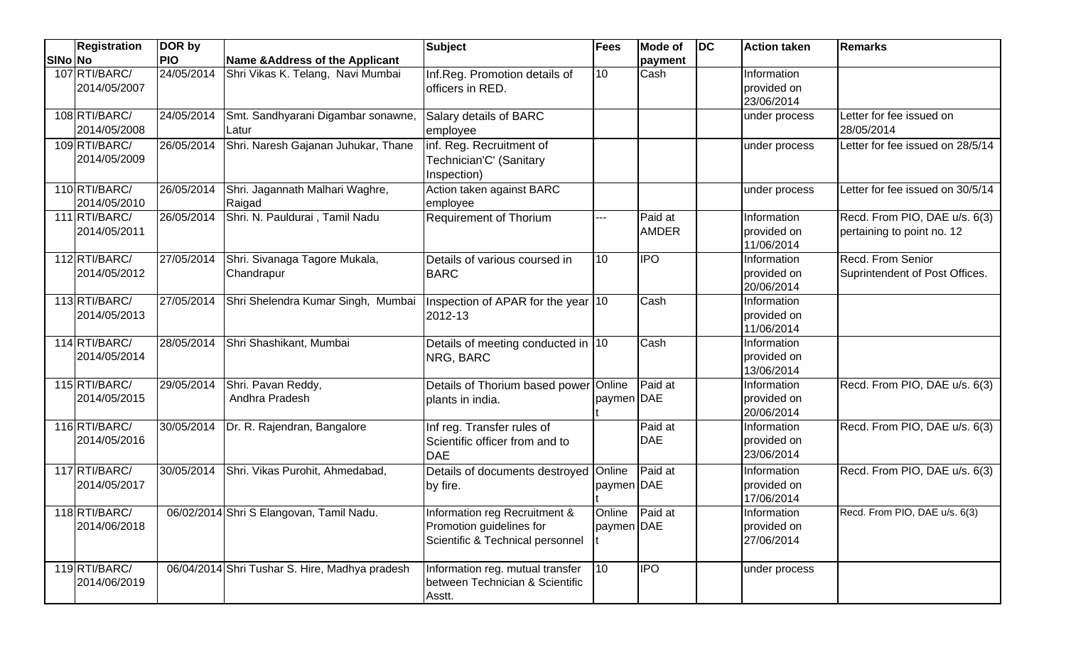|         | <b>Registration</b>           | DOR by     |                                                | <b>Subject</b>                                                                                | <b>Fees</b>                  | <b>Mode of</b>          | $\overline{D}$ | <b>Action taken</b>                      | Remarks                                                     |
|---------|-------------------------------|------------|------------------------------------------------|-----------------------------------------------------------------------------------------------|------------------------------|-------------------------|----------------|------------------------------------------|-------------------------------------------------------------|
| SINo No |                               | <b>PIO</b> | Name & Address of the Applicant                |                                                                                               |                              | payment                 |                |                                          |                                                             |
|         | 107 RTI/BARC/<br>2014/05/2007 | 24/05/2014 | Shri Vikas K. Telang, Navi Mumbai              | Inf.Reg. Promotion details of<br>officers in RED.                                             | 10 <sup>°</sup>              | Cash                    |                | Information<br>provided on<br>23/06/2014 |                                                             |
|         | 108 RTI/BARC/<br>2014/05/2008 | 24/05/2014 | Smt. Sandhyarani Digambar sonawne,<br>Latur    | Salary details of BARC<br>employee                                                            |                              |                         |                | under process                            | Letter for fee issued on<br>28/05/2014                      |
|         | 109 RTI/BARC/<br>2014/05/2009 |            | 26/05/2014 Shri. Naresh Gajanan Juhukar, Thane | inf. Reg. Recruitment of<br>Technician'C' (Sanitary<br>Inspection)                            |                              |                         |                | under process                            | Letter for fee issued on 28/5/14                            |
|         | 110 RTI/BARC/<br>2014/05/2010 | 26/05/2014 | Shri. Jagannath Malhari Waghre,<br>Raigad      | Action taken against BARC<br>employee                                                         |                              |                         |                | under process                            | Letter for fee issued on 30/5/14                            |
|         | 111 RTI/BARC/<br>2014/05/2011 | 26/05/2014 | Shri. N. Pauldurai, Tamil Nadu                 | <b>Requirement of Thorium</b>                                                                 | ---                          | Paid at<br><b>AMDER</b> |                | Information<br>provided on<br>11/06/2014 | Recd. From PIO, DAE u/s. 6(3)<br>pertaining to point no. 12 |
|         | 112 RTI/BARC/<br>2014/05/2012 | 27/05/2014 | Shri. Sivanaga Tagore Mukala,<br>Chandrapur    | Details of various coursed in<br><b>BARC</b>                                                  | 10                           | <b>IPO</b>              |                | Information<br>provided on<br>20/06/2014 | <b>Recd. From Senior</b><br>Suprintendent of Post Offices.  |
|         | 113RTI/BARC/<br>2014/05/2013  |            | 27/05/2014 Shri Shelendra Kumar Singh, Mumbai  | Inspection of APAR for the year 10<br>2012-13                                                 |                              | Cash                    |                | Information<br>provided on<br>11/06/2014 |                                                             |
|         | 114 RTI/BARC/<br>2014/05/2014 | 28/05/2014 | Shri Shashikant, Mumbai                        | Details of meeting conducted in 10<br>NRG, BARC                                               |                              | Cash                    |                | Information<br>provided on<br>13/06/2014 |                                                             |
|         | 115 RTI/BARC/<br>2014/05/2015 | 29/05/2014 | Shri. Pavan Reddy,<br>Andhra Pradesh           | Details of Thorium based power Online<br>plants in india.                                     | paymen DAE                   | Paid at                 |                | Information<br>provided on<br>20/06/2014 | Recd. From PIO, DAE u/s. 6(3)                               |
|         | 116RTI/BARC/<br>2014/05/2016  |            | 30/05/2014   Dr. R. Rajendran, Bangalore       | Inf reg. Transfer rules of<br>Scientific officer from and to<br><b>DAE</b>                    |                              | Paid at<br><b>DAE</b>   |                | Information<br>provided on<br>23/06/2014 | Recd. From PIO, DAE u/s. 6(3)                               |
|         | 117 RTI/BARC/<br>2014/05/2017 | 30/05/2014 | Shri. Vikas Purohit, Ahmedabad,                | Details of documents destroyed Online<br>by fire.                                             | paymen DAE                   | Paid at                 |                | Information<br>provided on<br>17/06/2014 | Recd. From PIO, DAE u/s. 6(3)                               |
|         | 118 RTI/BARC/<br>2014/06/2018 |            | 06/02/2014 Shri S Elangovan, Tamil Nadu.       | Information reg Recruitment &<br>Promotion guidelines for<br>Scientific & Technical personnel | Online Paid at<br>paymen DAE |                         |                | Information<br>provided on<br>27/06/2014 | Recd. From PIO, DAE u/s. 6(3)                               |
|         | 119RTI/BARC/<br>2014/06/2019  |            | 06/04/2014 Shri Tushar S. Hire, Madhya pradesh | Information reg. mutual transfer<br>between Technician & Scientific<br>Asstt.                 | $\overline{10}$              | <b>IPO</b>              |                | under process                            |                                                             |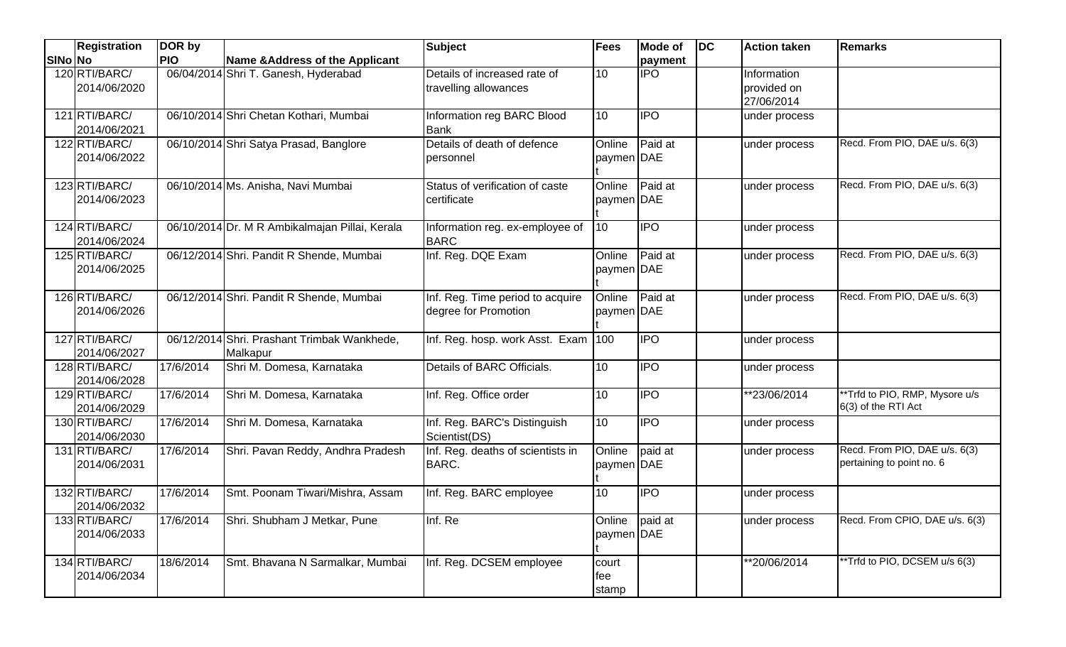|                | <b>Registration</b>           | DOR by     |                                                | <b>Subject</b>                      | <b>Fees</b>  | Mode of    | <b>DC</b> | <b>Action taken</b> | <b>Remarks</b>                 |
|----------------|-------------------------------|------------|------------------------------------------------|-------------------------------------|--------------|------------|-----------|---------------------|--------------------------------|
| <b>SINo No</b> |                               | <b>PIO</b> | Name & Address of the Applicant                |                                     |              | payment    |           |                     |                                |
|                | 120 RTI/BARC/                 |            | 06/04/2014 Shri T. Ganesh, Hyderabad           | Details of increased rate of        | 10           | <b>IPO</b> |           | Information         |                                |
|                | 2014/06/2020                  |            |                                                | travelling allowances               |              |            |           | provided on         |                                |
|                |                               |            |                                                |                                     |              |            |           | 27/06/2014          |                                |
|                | 121 RTI/BARC/                 |            | 06/10/2014 Shri Chetan Kothari, Mumbai         | Information reg BARC Blood          | 10           | <b>IPO</b> |           | under process       |                                |
|                | 2014/06/2021                  |            |                                                | lBank                               |              |            |           |                     |                                |
|                | 122 RTI/BARC/                 |            | 06/10/2014 Shri Satya Prasad, Banglore         | Details of death of defence         | Online       | Paid at    |           | under process       | Recd. From PIO, DAE u/s. 6(3)  |
|                | 2014/06/2022                  |            |                                                | personnel                           | paymen DAE   |            |           |                     |                                |
|                | 123RTI/BARC/                  |            | 06/10/2014 Ms. Anisha, Navi Mumbai             | Status of verification of caste     | Online       | Paid at    |           | under process       | Recd. From PIO, DAE u/s. 6(3)  |
|                | 2014/06/2023                  |            |                                                | certificate                         | paymen DAE   |            |           |                     |                                |
|                |                               |            |                                                |                                     |              |            |           |                     |                                |
|                | 124 RTI/BARC/                 |            | 06/10/2014 Dr. M R Ambikalmajan Pillai, Kerala | Information reg. ex-employee of     | 10           | <b>IPO</b> |           | under process       |                                |
|                | 2014/06/2024                  |            |                                                | <b>BARC</b>                         |              |            |           |                     |                                |
|                | 125 RTI/BARC/                 |            | 06/12/2014 Shri. Pandit R Shende, Mumbai       | Inf. Reg. DQE Exam                  | Online       | Paid at    |           | under process       | Recd. From PIO, DAE u/s. 6(3)  |
|                | 2014/06/2025                  |            |                                                |                                     | paymen DAE   |            |           |                     |                                |
|                |                               |            |                                                |                                     |              |            |           |                     |                                |
|                | 126 RTI/BARC/                 |            | 06/12/2014 Shri. Pandit R Shende, Mumbai       | Inf. Reg. Time period to acquire    | Online       | Paid at    |           | under process       | Recd. From PIO, DAE u/s. 6(3)  |
|                | 2014/06/2026                  |            |                                                | degree for Promotion                | paymen DAE   |            |           |                     |                                |
|                |                               |            |                                                |                                     |              |            |           |                     |                                |
|                | 127 RTI/BARC/                 |            | 06/12/2014 Shri. Prashant Trimbak Wankhede,    | Inf. Reg. hosp. work Asst. Exam 100 |              | <b>IPO</b> |           | under process       |                                |
|                | 2014/06/2027                  | 17/6/2014  | Malkapur<br>Shri M. Domesa, Karnataka          | Details of BARC Officials.          | 10           | <b>IPO</b> |           |                     |                                |
|                | 128 RTI/BARC/<br>2014/06/2028 |            |                                                |                                     |              |            |           | under process       |                                |
|                | 129RTI/BARC/                  | 17/6/2014  | Shri M. Domesa, Karnataka                      | Inf. Reg. Office order              | 10           | <b>IPO</b> |           | *23/06/2014         | **Trfd to PIO, RMP, Mysore u/s |
|                | 2014/06/2029                  |            |                                                |                                     |              |            |           |                     | 6(3) of the RTI Act            |
|                | 130 RTI/BARC/                 | 17/6/2014  | Shri M. Domesa, Karnataka                      | Inf. Reg. BARC's Distinguish        | 10           | <b>IPO</b> |           | under process       |                                |
|                | 2014/06/2030                  |            |                                                | Scientist(DS)                       |              |            |           |                     |                                |
|                | 131 RTI/BARC/                 | 17/6/2014  | Shri. Pavan Reddy, Andhra Pradesh              | Inf. Reg. deaths of scientists in   | Online       | paid at    |           | under process       | Recd. From PIO, DAE u/s. 6(3)  |
|                | 2014/06/2031                  |            |                                                | <b>BARC.</b>                        | paymen DAE   |            |           |                     | pertaining to point no. 6      |
|                |                               |            |                                                |                                     |              |            |           |                     |                                |
|                | 132 RTI/BARC/                 | 17/6/2014  | Smt. Poonam Tiwari/Mishra, Assam               | Inf. Reg. BARC employee             | 10           | <b>IPO</b> |           | under process       |                                |
|                | 2014/06/2032                  |            |                                                |                                     |              |            |           |                     |                                |
|                | 133 RTI/BARC/                 | 17/6/2014  | Shri. Shubham J Metkar, Pune                   | Inf. Re                             | Online       | paid at    |           | under process       | Recd. From CPIO, DAE u/s. 6(3) |
|                | 2014/06/2033                  |            |                                                |                                     | paymen DAE   |            |           |                     |                                |
|                | 134 RTI/BARC/                 | 18/6/2014  | Smt. Bhavana N Sarmalkar, Mumbai               |                                     |              |            |           | **20/06/2014        | **Trfd to PIO, DCSEM u/s 6(3)  |
|                | 2014/06/2034                  |            |                                                | Inf. Reg. DCSEM employee            | court<br>fee |            |           |                     |                                |
|                |                               |            |                                                |                                     | stamp        |            |           |                     |                                |
|                |                               |            |                                                |                                     |              |            |           |                     |                                |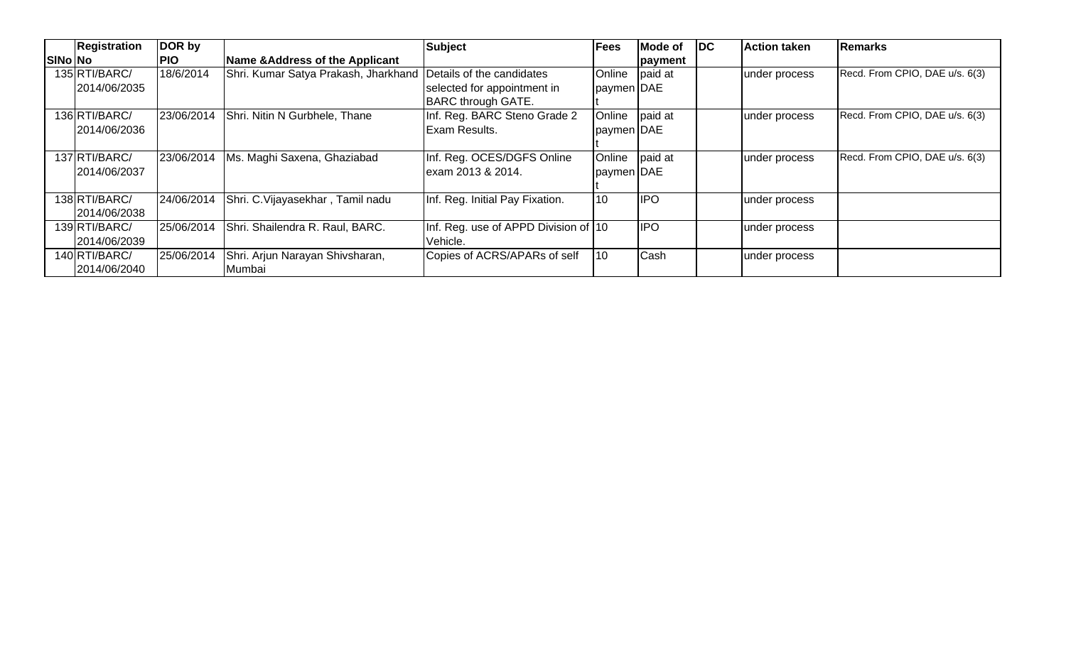| <b>Registration</b> | DOR by     |                                      | <b>Subject</b>                       | <b>Fees</b> | Mode of    | $\overline{\mathsf{DC}}$ | <b>Action taken</b> | <b>Remarks</b>                 |
|---------------------|------------|--------------------------------------|--------------------------------------|-------------|------------|--------------------------|---------------------|--------------------------------|
| SINo No             | <b>PIO</b> | Name & Address of the Applicant      |                                      |             | payment    |                          |                     |                                |
| 135 RTI/BARC/       | 18/6/2014  | Shri. Kumar Satya Prakash, Jharkhand | Details of the candidates            | Online      | paid at    |                          | under process       | Recd. From CPIO, DAE u/s. 6(3) |
| 2014/06/2035        |            |                                      | selected for appointment in          | paymen DAE  |            |                          |                     |                                |
|                     |            |                                      | <b>BARC through GATE.</b>            |             |            |                          |                     |                                |
| 136 RTI/BARC/       | 23/06/2014 | Shri. Nitin N Gurbhele, Thane        | Inf. Reg. BARC Steno Grade 2         | Online      | paid at    |                          | under process       | Recd. From CPIO, DAE u/s. 6(3) |
| 2014/06/2036        |            |                                      | Exam Results.                        | paymen DAE  |            |                          |                     |                                |
|                     |            |                                      |                                      |             |            |                          |                     |                                |
| 137 RTI/BARC/       | 23/06/2014 | Ms. Maghi Saxena, Ghaziabad          | Inf. Reg. OCES/DGFS Online           | Online      | paid at    |                          | under process       | Recd. From CPIO, DAE u/s. 6(3) |
| 2014/06/2037        |            |                                      | lexam 2013 & 2014.                   | paymen DAE  |            |                          |                     |                                |
|                     |            |                                      |                                      |             |            |                          |                     |                                |
| 138 RTI/BARC/       | 24/06/2014 | Shri. C. Vijayasekhar, Tamil nadu    | Inf. Reg. Initial Pay Fixation.      | 10          | <b>IPO</b> |                          | under process       |                                |
| 2014/06/2038        |            |                                      |                                      |             |            |                          |                     |                                |
| 139RTI/BARC/        | 25/06/2014 | Shri. Shailendra R. Raul, BARC.      | Inf. Reg. use of APPD Division of 10 |             | <b>IPO</b> |                          | under process       |                                |
| 2014/06/2039        |            |                                      | Vehicle.                             |             |            |                          |                     |                                |
| 140 RTI/BARC/       | 25/06/2014 | Shri. Arjun Narayan Shivsharan,      | Copies of ACRS/APARs of self         | 10          | Cash       |                          | under process       |                                |
| 2014/06/2040        |            | Mumbai                               |                                      |             |            |                          |                     |                                |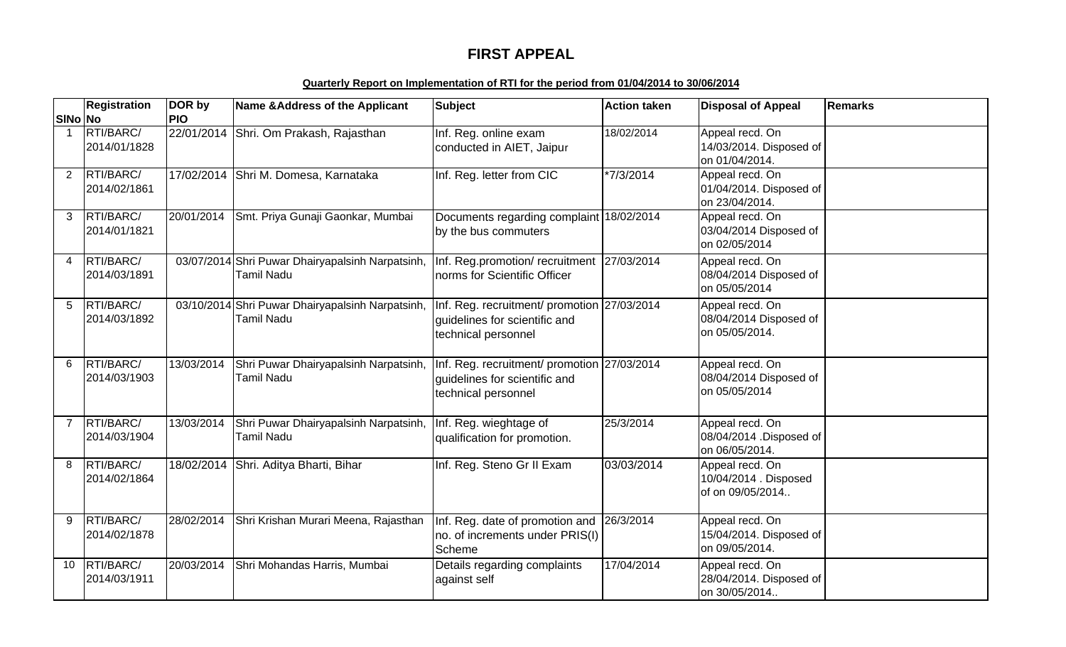# **FIRST APPEAL**

### **Quarterly Report on Implementation of RTI for the period from 01/04/2014 to 30/06/2014**

|                | <b>Registration</b>       | DOR by     | Name & Address of the Applicant                                | <b>Subject</b>                                                                                      | <b>Action taken</b> | <b>Disposal of Appeal</b>                                    | Remarks |
|----------------|---------------------------|------------|----------------------------------------------------------------|-----------------------------------------------------------------------------------------------------|---------------------|--------------------------------------------------------------|---------|
| <b>SINo No</b> |                           | <b>PIO</b> |                                                                |                                                                                                     |                     |                                                              |         |
| $\mathbf 1$    | RTI/BARC/<br>2014/01/1828 | 22/01/2014 | Shri. Om Prakash, Rajasthan                                    | Inf. Reg. online exam<br>conducted in AIET, Jaipur                                                  | 18/02/2014          | Appeal recd. On<br>14/03/2014. Disposed of<br>on 01/04/2014. |         |
| $\overline{2}$ | RTI/BARC/<br>2014/02/1861 |            | 17/02/2014 Shri M. Domesa, Karnataka                           | Inf. Reg. letter from CIC                                                                           | *7/3/2014           | Appeal recd. On<br>01/04/2014. Disposed of<br>on 23/04/2014. |         |
| 3              | RTI/BARC/<br>2014/01/1821 | 20/01/2014 | Smt. Priya Gunaji Gaonkar, Mumbai                              | Documents regarding complaint 18/02/2014<br>by the bus commuters                                    |                     | Appeal recd. On<br>03/04/2014 Disposed of<br>on 02/05/2014   |         |
| 4              | RTI/BARC/<br>2014/03/1891 |            | 03/07/2014 Shri Puwar Dhairyapalsinh Narpatsinh,<br>Tamil Nadu | Inf. Reg.promotion/ recruitment 27/03/2014<br>norms for Scientific Officer                          |                     | Appeal recd. On<br>08/04/2014 Disposed of<br>on 05/05/2014   |         |
| 5              | RTI/BARC/<br>2014/03/1892 |            | 03/10/2014 Shri Puwar Dhairyapalsinh Narpatsinh,<br>Tamil Nadu | Inf. Reg. recruitment/ promotion 27/03/2014<br>guidelines for scientific and<br>technical personnel |                     | Appeal recd. On<br>08/04/2014 Disposed of<br>on 05/05/2014.  |         |
| 6              | RTI/BARC/<br>2014/03/1903 | 13/03/2014 | Shri Puwar Dhairyapalsinh Narpatsinh,<br>Tamil Nadu            | Inf. Reg. recruitment/ promotion 27/03/2014<br>guidelines for scientific and<br>technical personnel |                     | Appeal recd. On<br>08/04/2014 Disposed of<br>on 05/05/2014   |         |
| $\overline{7}$ | RTI/BARC/<br>2014/03/1904 | 13/03/2014 | Shri Puwar Dhairyapalsinh Narpatsinh,<br>Tamil Nadu            | Inf. Reg. wieghtage of<br>qualification for promotion.                                              | 25/3/2014           | Appeal recd. On<br>08/04/2014 .Disposed of<br>on 06/05/2014. |         |
| 8              | RTI/BARC/<br>2014/02/1864 | 18/02/2014 | Shri. Aditya Bharti, Bihar                                     | Inf. Reg. Steno Gr II Exam                                                                          | 03/03/2014          | Appeal recd. On<br>10/04/2014 . Disposed<br>of on 09/05/2014 |         |
| 9              | RTI/BARC/<br>2014/02/1878 | 28/02/2014 | Shri Krishan Murari Meena, Rajasthan                           | Inf. Reg. date of promotion and 26/3/2014<br>no. of increments under PRIS(I)<br>Scheme              |                     | Appeal recd. On<br>15/04/2014. Disposed of<br>on 09/05/2014. |         |
| 10             | RTI/BARC/<br>2014/03/1911 | 20/03/2014 | Shri Mohandas Harris, Mumbai                                   | Details regarding complaints<br>against self                                                        | 17/04/2014          | Appeal recd. On<br>28/04/2014. Disposed of<br>on 30/05/2014  |         |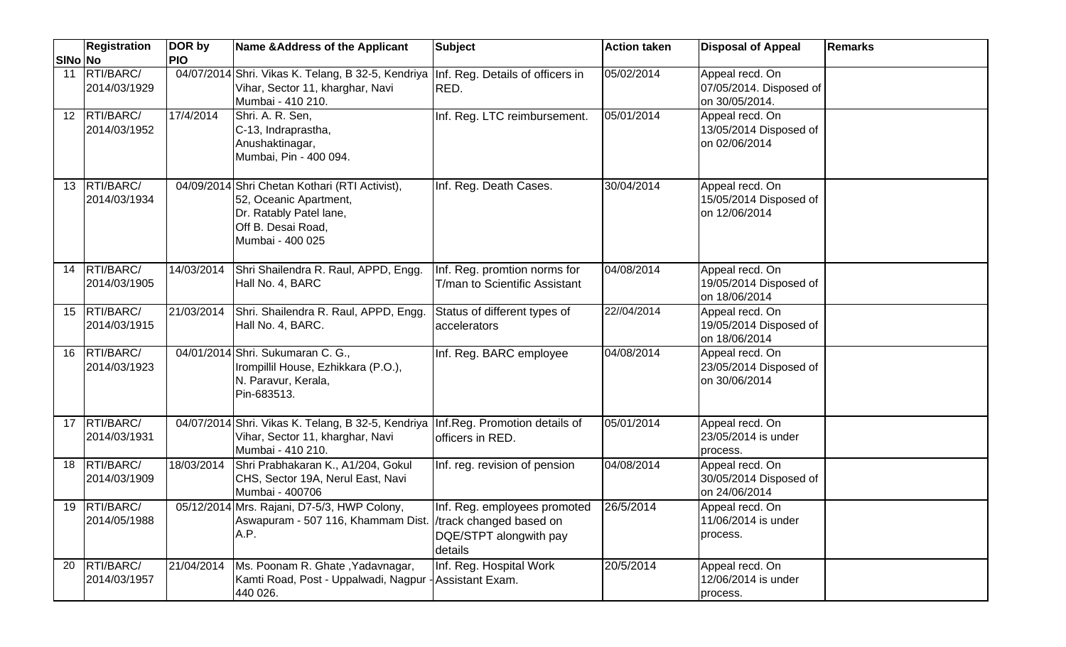|                 | <b>Registration</b>          | DOR by     | Name & Address of the Applicant                                                                                                               | <b>Subject</b>                                                    | <b>Action taken</b> | <b>Disposal of Appeal</b>                                    | <b>Remarks</b> |
|-----------------|------------------------------|------------|-----------------------------------------------------------------------------------------------------------------------------------------------|-------------------------------------------------------------------|---------------------|--------------------------------------------------------------|----------------|
| SINo No         |                              | <b>PIO</b> |                                                                                                                                               |                                                                   |                     |                                                              |                |
| 11              | RTI/BARC/<br>2014/03/1929    |            | 04/07/2014 Shri. Vikas K. Telang, B 32-5, Kendriya<br>Vihar, Sector 11, kharghar, Navi<br>Mumbai - 410 210.                                   | Inf. Reg. Details of officers in<br>RED.                          | 05/02/2014          | Appeal recd. On<br>07/05/2014. Disposed of<br>on 30/05/2014. |                |
|                 | 12 RTI/BARC/<br>2014/03/1952 | 17/4/2014  | Shri. A. R. Sen.<br>C-13, Indraprastha,<br>Anushaktinagar,<br>Mumbai, Pin - 400 094.                                                          | Inf. Reg. LTC reimbursement.                                      | 05/01/2014          | Appeal recd. On<br>13/05/2014 Disposed of<br>on 02/06/2014   |                |
| 13 <sup>°</sup> | RTI/BARC/<br>2014/03/1934    |            | 04/09/2014 Shri Chetan Kothari (RTI Activist),<br>52, Oceanic Apartment,<br>Dr. Ratably Patel lane,<br>Off B. Desai Road,<br>Mumbai - 400 025 | Inf. Reg. Death Cases.                                            | 30/04/2014          | Appeal recd. On<br>15/05/2014 Disposed of<br>on 12/06/2014   |                |
| 14              | RTI/BARC/<br>2014/03/1905    | 14/03/2014 | Shri Shailendra R. Raul, APPD, Engg.<br>Hall No. 4, BARC                                                                                      | Inf. Reg. promtion norms for<br>T/man to Scientific Assistant     | 04/08/2014          | Appeal recd. On<br>19/05/2014 Disposed of<br>on 18/06/2014   |                |
| 15              | RTI/BARC/<br>2014/03/1915    | 21/03/2014 | Shri. Shailendra R. Raul, APPD, Engg.<br>Hall No. 4, BARC.                                                                                    | Status of different types of<br>accelerators                      | 22//04/2014         | Appeal recd. On<br>19/05/2014 Disposed of<br>on 18/06/2014   |                |
| 16              | RTI/BARC/<br>2014/03/1923    |            | 04/01/2014 Shri. Sukumaran C. G.,<br>Irompillil House, Ezhikkara (P.O.),<br>N. Paravur, Kerala,<br>Pin-683513.                                | Inf. Reg. BARC employee                                           | 04/08/2014          | Appeal recd. On<br>23/05/2014 Disposed of<br>on 30/06/2014   |                |
|                 | 17 RTI/BARC/<br>2014/03/1931 |            | 04/07/2014 Shri. Vikas K. Telang, B 32-5, Kendriya<br>Vihar, Sector 11, kharghar, Navi<br>Mumbai - 410 210.                                   | Inf.Reg. Promotion details of<br>officers in RED.                 | 05/01/2014          | Appeal recd. On<br>23/05/2014 is under<br>process.           |                |
| 18              | RTI/BARC/<br>2014/03/1909    | 18/03/2014 | Shri Prabhakaran K., A1/204, Gokul<br>CHS, Sector 19A, Nerul East, Navi<br>Mumbai - 400706                                                    | Inf. reg. revision of pension                                     | 04/08/2014          | Appeal recd. On<br>30/05/2014 Disposed of<br>on 24/06/2014   |                |
|                 | 19 RTI/BARC/<br>2014/05/1988 |            | 05/12/2014 Mrs. Rajani, D7-5/3, HWP Colony,<br>Aswapuram - 507 116, Khammam Dist. //track changed based on<br>A.P.                            | Inf. Reg. employees promoted<br>DQE/STPT alongwith pay<br>details | 26/5/2014           | Appeal recd. On<br>11/06/2014 is under<br>process.           |                |
| 20              | RTI/BARC/<br>2014/03/1957    | 21/04/2014 | Ms. Poonam R. Ghate, Yadavnagar,<br>Kamti Road, Post - Uppalwadi, Nagpur - Assistant Exam.<br>440 026.                                        | Inf. Reg. Hospital Work                                           | 20/5/2014           | Appeal recd. On<br>12/06/2014 is under<br>process.           |                |